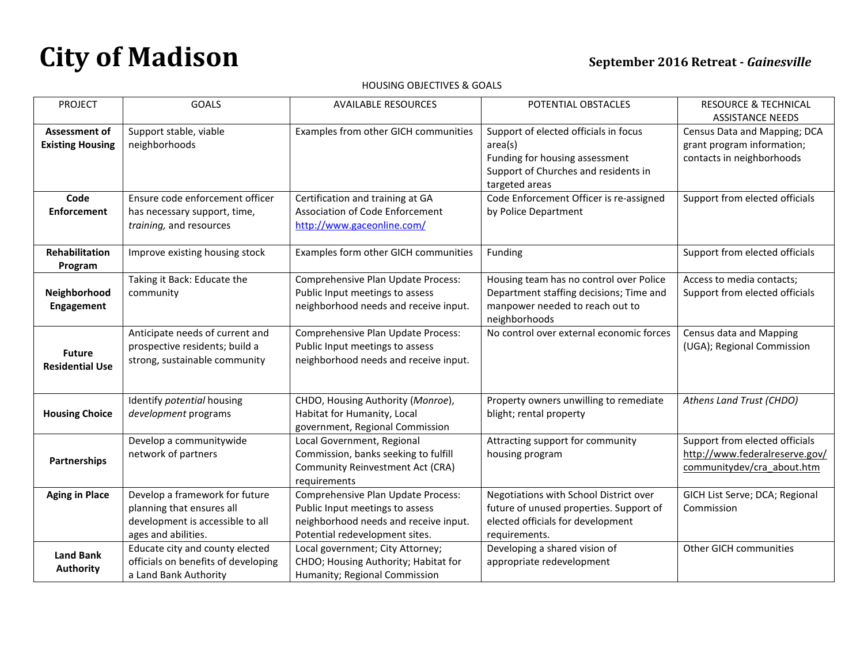## HOUSING OBJECTIVES & GOALS

| <b>PROJECT</b>                           | <b>GOALS</b>                                                                                                           | <b>AVAILABLE RESOURCES</b>                                                                                                                       | POTENTIAL OBSTACLES                                                                                                                          | <b>RESOURCE &amp; TECHNICAL</b>                                                                |
|------------------------------------------|------------------------------------------------------------------------------------------------------------------------|--------------------------------------------------------------------------------------------------------------------------------------------------|----------------------------------------------------------------------------------------------------------------------------------------------|------------------------------------------------------------------------------------------------|
|                                          |                                                                                                                        |                                                                                                                                                  |                                                                                                                                              | <b>ASSISTANCE NEEDS</b>                                                                        |
| Assessment of<br><b>Existing Housing</b> | Support stable, viable<br>neighborhoods                                                                                | Examples from other GICH communities                                                                                                             | Support of elected officials in focus<br>area(s)<br>Funding for housing assessment<br>Support of Churches and residents in<br>targeted areas | Census Data and Mapping; DCA<br>grant program information;<br>contacts in neighborhoods        |
| Code<br><b>Enforcement</b>               | Ensure code enforcement officer<br>has necessary support, time,<br>training, and resources                             | Certification and training at GA<br>Association of Code Enforcement<br>http://www.gaceonline.com/                                                | Code Enforcement Officer is re-assigned<br>by Police Department                                                                              | Support from elected officials                                                                 |
| Rehabilitation<br>Program                | Improve existing housing stock                                                                                         | Examples form other GICH communities                                                                                                             | Funding                                                                                                                                      | Support from elected officials                                                                 |
| Neighborhood<br><b>Engagement</b>        | Taking it Back: Educate the<br>community                                                                               | Comprehensive Plan Update Process:<br>Public Input meetings to assess<br>neighborhood needs and receive input.                                   | Housing team has no control over Police<br>Department staffing decisions; Time and<br>manpower needed to reach out to<br>neighborhoods       | Access to media contacts;<br>Support from elected officials                                    |
| <b>Future</b><br><b>Residential Use</b>  | Anticipate needs of current and<br>prospective residents; build a<br>strong, sustainable community                     | Comprehensive Plan Update Process:<br>Public Input meetings to assess<br>neighborhood needs and receive input.                                   | No control over external economic forces                                                                                                     | Census data and Mapping<br>(UGA); Regional Commission                                          |
| <b>Housing Choice</b>                    | Identify potential housing<br>development programs                                                                     | CHDO, Housing Authority (Monroe),<br>Habitat for Humanity, Local<br>government, Regional Commission                                              | Property owners unwilling to remediate<br>blight; rental property                                                                            | Athens Land Trust (CHDO)                                                                       |
| Partnerships                             | Develop a communitywide<br>network of partners                                                                         | Local Government, Regional<br>Commission, banks seeking to fulfill<br>Community Reinvestment Act (CRA)<br>requirements                           | Attracting support for community<br>housing program                                                                                          | Support from elected officials<br>http://www.federalreserve.gov/<br>communitydev/cra_about.htm |
| <b>Aging in Place</b>                    | Develop a framework for future<br>planning that ensures all<br>development is accessible to all<br>ages and abilities. | Comprehensive Plan Update Process:<br>Public Input meetings to assess<br>neighborhood needs and receive input.<br>Potential redevelopment sites. | Negotiations with School District over<br>future of unused properties. Support of<br>elected officials for development<br>requirements.      | GICH List Serve; DCA; Regional<br>Commission                                                   |
| <b>Land Bank</b><br><b>Authority</b>     | Educate city and county elected<br>officials on benefits of developing<br>a Land Bank Authority                        | Local government; City Attorney;<br>CHDO; Housing Authority; Habitat for<br>Humanity; Regional Commission                                        | Developing a shared vision of<br>appropriate redevelopment                                                                                   | Other GICH communities                                                                         |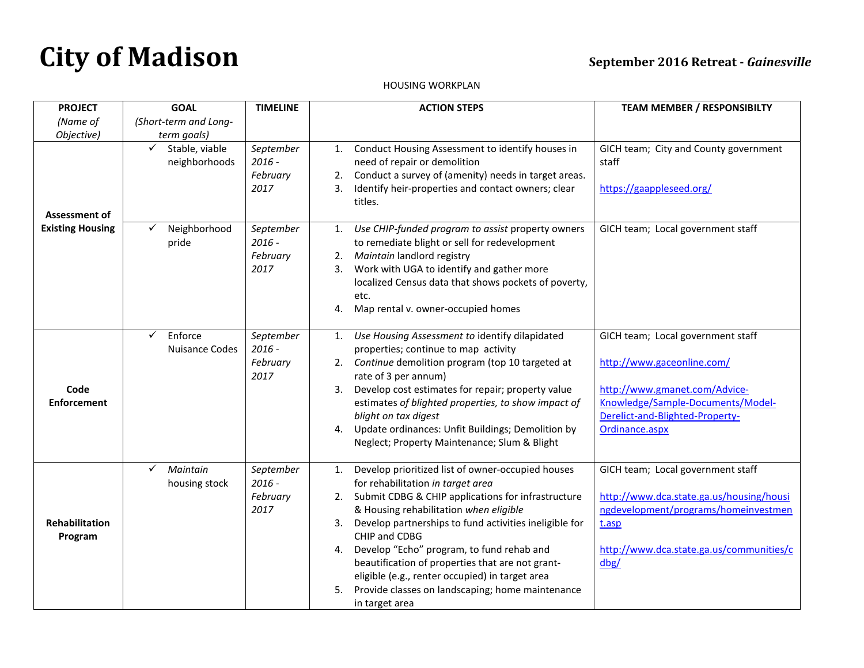## HOUSING WORKPLAN

| <b>PROJECT</b>                   | <b>GOAL</b>                                      | <b>TIMELINE</b>                           | <b>ACTION STEPS</b>                                                                                                                                                                                                                                                                                                                                                                                                                                                                                                       | <b>TEAM MEMBER / RESPONSIBILTY</b>                                                                                                                                                         |
|----------------------------------|--------------------------------------------------|-------------------------------------------|---------------------------------------------------------------------------------------------------------------------------------------------------------------------------------------------------------------------------------------------------------------------------------------------------------------------------------------------------------------------------------------------------------------------------------------------------------------------------------------------------------------------------|--------------------------------------------------------------------------------------------------------------------------------------------------------------------------------------------|
| (Name of<br>Objective)           | (Short-term and Long-<br>term goals)             |                                           |                                                                                                                                                                                                                                                                                                                                                                                                                                                                                                                           |                                                                                                                                                                                            |
| Assessment of                    | Stable, viable<br>neighborhoods                  | September<br>$2016 -$<br>February<br>2017 | Conduct Housing Assessment to identify houses in<br>1.<br>need of repair or demolition<br>Conduct a survey of (amenity) needs in target areas.<br>2.<br>Identify heir-properties and contact owners; clear<br>3.<br>titles.                                                                                                                                                                                                                                                                                               | GICH team; City and County government<br>staff<br>https://gaappleseed.org/                                                                                                                 |
| <b>Existing Housing</b>          | Neighborhood<br>pride                            | September<br>$2016 -$<br>February<br>2017 | Use CHIP-funded program to assist property owners<br>1.<br>to remediate blight or sell for redevelopment<br>Maintain landlord registry<br>2.<br>Work with UGA to identify and gather more<br>3.<br>localized Census data that shows pockets of poverty,<br>etc.<br>Map rental v. owner-occupied homes<br>4.                                                                                                                                                                                                               | GICH team; Local government staff                                                                                                                                                          |
| Code<br><b>Enforcement</b>       | $\checkmark$<br>Enforce<br><b>Nuisance Codes</b> | September<br>$2016 -$<br>February<br>2017 | Use Housing Assessment to identify dilapidated<br>1.<br>properties; continue to map activity<br>2. Continue demolition program (top 10 targeted at<br>rate of 3 per annum)<br>Develop cost estimates for repair; property value<br>3.<br>estimates of blighted properties, to show impact of<br>blight on tax digest<br>Update ordinances: Unfit Buildings; Demolition by<br>4.<br>Neglect; Property Maintenance; Slum & Blight                                                                                           | GICH team; Local government staff<br>http://www.gaceonline.com/<br>http://www.gmanet.com/Advice-<br>Knowledge/Sample-Documents/Model-<br>Derelict-and-Blighted-Property-<br>Ordinance.aspx |
| <b>Rehabilitation</b><br>Program | Maintain<br>✓<br>housing stock                   | September<br>$2016 -$<br>February<br>2017 | Develop prioritized list of owner-occupied houses<br>1.<br>for rehabilitation in target area<br>Submit CDBG & CHIP applications for infrastructure<br>2.<br>& Housing rehabilitation when eligible<br>Develop partnerships to fund activities ineligible for<br>3.<br>CHIP and CDBG<br>Develop "Echo" program, to fund rehab and<br>4.<br>beautification of properties that are not grant-<br>eligible (e.g., renter occupied) in target area<br>Provide classes on landscaping; home maintenance<br>5.<br>in target area | GICH team; Local government staff<br>http://www.dca.state.ga.us/housing/housi<br>ngdevelopment/programs/homeinvestmen<br>t.asp<br>http://www.dca.state.ga.us/communities/c<br>dbg/         |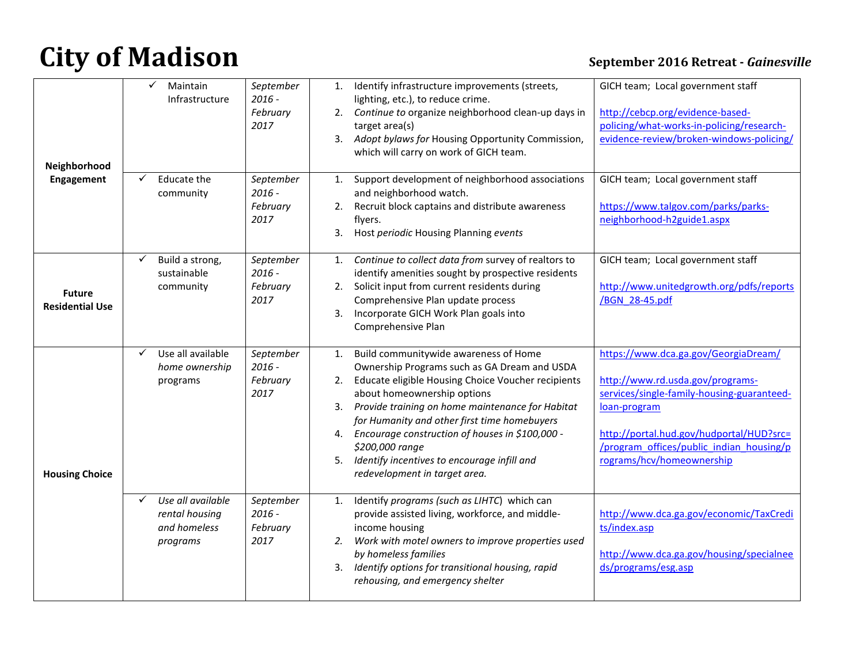| Neighborhood<br>Engagement              | Maintain<br>✓<br>Infrastructure                                 | September<br>$2016 -$<br>February<br>2017 | 1.<br>2.             | Identify infrastructure improvements (streets,<br>lighting, etc.), to reduce crime.<br>Continue to organize neighborhood clean-up days in<br>target area(s)<br>3. Adopt bylaws for Housing Opportunity Commission,<br>which will carry on work of GICH team.                                                                                                                                                                            | GICH team; Local government staff<br>http://cebcp.org/evidence-based-<br>policing/what-works-in-policing/research-<br>evidence-review/broken-windows-policing/                                                                                              |
|-----------------------------------------|-----------------------------------------------------------------|-------------------------------------------|----------------------|-----------------------------------------------------------------------------------------------------------------------------------------------------------------------------------------------------------------------------------------------------------------------------------------------------------------------------------------------------------------------------------------------------------------------------------------|-------------------------------------------------------------------------------------------------------------------------------------------------------------------------------------------------------------------------------------------------------------|
|                                         | Educate the<br>community                                        | September<br>$2016 -$<br>February<br>2017 | 1.<br>2.<br>3.       | Support development of neighborhood associations<br>and neighborhood watch.<br>Recruit block captains and distribute awareness<br>flyers.<br>Host periodic Housing Planning events                                                                                                                                                                                                                                                      | GICH team; Local government staff<br>https://www.talgov.com/parks/parks-<br>neighborhood-h2guide1.aspx                                                                                                                                                      |
| <b>Future</b><br><b>Residential Use</b> | Build a strong,<br>sustainable<br>community                     | September<br>$2016 -$<br>February<br>2017 | 1.<br>2.<br>3.       | Continue to collect data from survey of realtors to<br>identify amenities sought by prospective residents<br>Solicit input from current residents during<br>Comprehensive Plan update process<br>Incorporate GICH Work Plan goals into<br>Comprehensive Plan                                                                                                                                                                            | GICH team; Local government staff<br>http://www.unitedgrowth.org/pdfs/reports<br>/BGN 28-45.pdf                                                                                                                                                             |
| <b>Housing Choice</b>                   | Use all available<br>✓<br>home ownership<br>programs            | September<br>$2016 -$<br>February<br>2017 | 1.<br>2.<br>4.<br>5. | Build communitywide awareness of Home<br>Ownership Programs such as GA Dream and USDA<br>Educate eligible Housing Choice Voucher recipients<br>about homeownership options<br>3. Provide training on home maintenance for Habitat<br>for Humanity and other first time homebuyers<br>Encourage construction of houses in \$100,000 -<br>\$200,000 range<br>Identify incentives to encourage infill and<br>redevelopment in target area. | https://www.dca.ga.gov/GeorgiaDream/<br>http://www.rd.usda.gov/programs-<br>services/single-family-housing-guaranteed-<br>loan-program<br>http://portal.hud.gov/hudportal/HUD?src=<br>/program offices/public indian housing/p<br>rograms/hcv/homeownership |
|                                         | Use all available<br>rental housing<br>and homeless<br>programs | September<br>$2016 -$<br>February<br>2017 | 1.<br>2.             | Identify programs (such as LIHTC) which can<br>provide assisted living, workforce, and middle-<br>income housing<br>Work with motel owners to improve properties used<br>by homeless families<br>3. Identify options for transitional housing, rapid<br>rehousing, and emergency shelter                                                                                                                                                | http://www.dca.ga.gov/economic/TaxCredi<br>ts/index.asp<br>http://www.dca.ga.gov/housing/specialnee<br>ds/programs/esg.asp                                                                                                                                  |